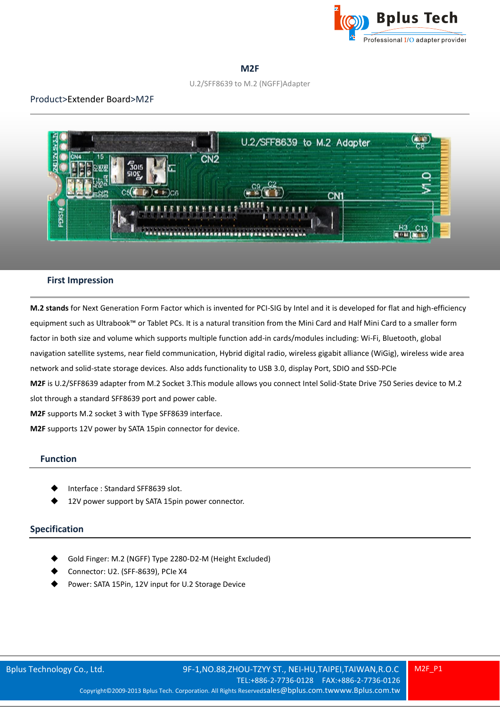

## **M2F**

#### U.2/SFF8639 to M.2 (NGFF)Adapter

# Product>Extender Board>M2F



## **First Impression**

**M.2 stands** for Next Generation Form Factor which is invented for PCI-SIG by Intel and it is developed for flat and high-efficiency equipment such as Ultrabook™ or Tablet PCs. It is a natural transition from the Mini Card and Half Mini Card to a smaller form factor in both size and volume which supports multiple function add-in cards/modules including: Wi-Fi, Bluetooth, global navigation satellite systems, near field communication, Hybrid digital radio, wireless gigabit alliance (WiGig), wireless wide area network and solid-state storage devices. Also adds functionality to USB 3.0, display Port, SDIO and SSD-PCIe **M2F** is U.2/SFF8639 adapter from M.2 Socket 3.This module allows you connect Intel Solid-State Drive 750 Series device to M.2 slot through a standard SFF8639 port and power cable. **M2F** supports M.2 socket 3 with Type SFF8639 interface. **M2F** supports 12V power by SATA 15pin connector for device.

#### **Function**

- Interface : Standard SFF8639 slot.
- 12V power support by SATA 15pin power connector.

## **Specification**

- Gold Finger: M.2 (NGFF) Type 2280-D2-M (Height Excluded)
- Connector: U2. (SFF-8639), PCIe X4
- Power: SATA 15Pin, 12V input for U.2 Storage Device